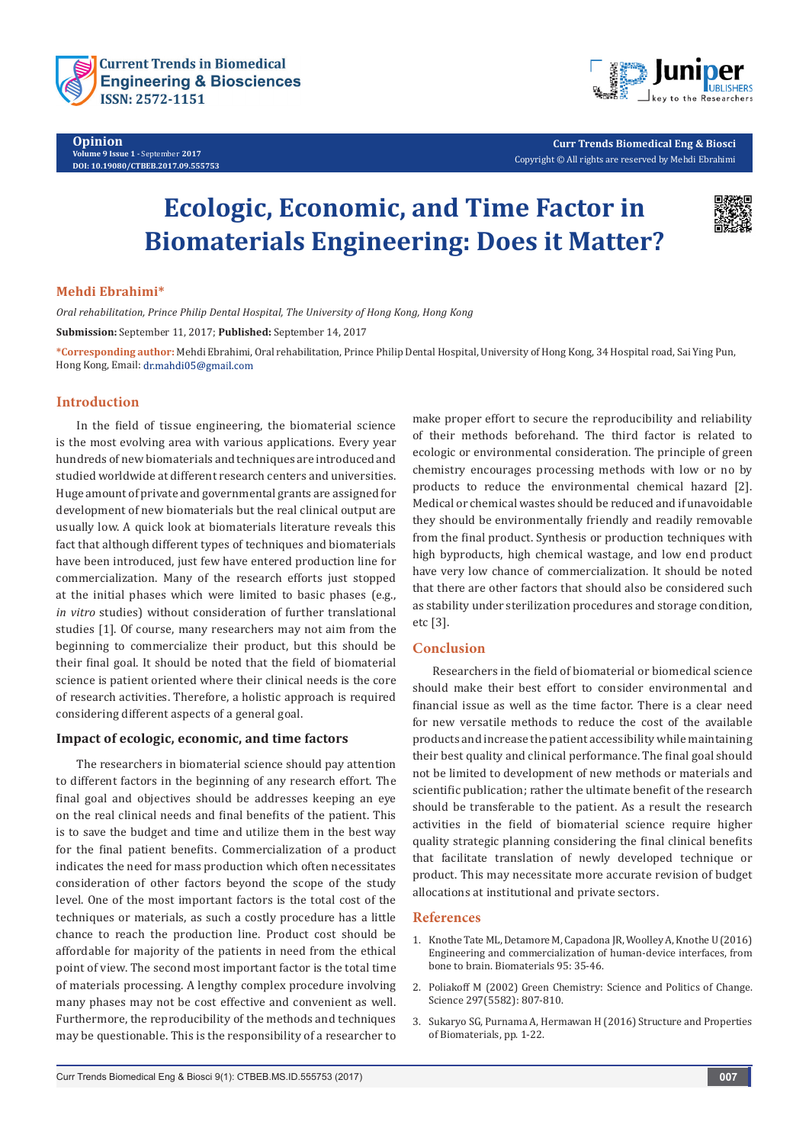



**Curr Trends Biomedical Eng & Biosci** Copyright © All rights are reserved by Mehdi Ebrahimi

# **Ecologic, Economic, and Time Factor in Biomaterials Engineering: Does it Matter?**



#### **Mehdi Ebrahimi\***

*Oral rehabilitation, Prince Philip Dental Hospital, The University of Hong Kong, Hong Kong* **Submission:** September 11, 2017; **Published:** September 14, 2017

**\*Corresponding author:** Mehdi Ebrahimi, Oral rehabilitation, Prince Philip Dental Hospital, University of Hong Kong, 34 Hospital road, Sai Ying Pun, Hong Kong, Email: dr.mahdi05@gmail.com

#### **Introduction**

In the field of tissue engineering, the biomaterial science is the most evolving area with various applications. Every year hundreds of new biomaterials and techniques are introduced and studied worldwide at different research centers and universities. Huge amount of private and governmental grants are assigned for development of new biomaterials but the real clinical output are usually low. A quick look at biomaterials literature reveals this fact that although different types of techniques and biomaterials have been introduced, just few have entered production line for commercialization. Many of the research efforts just stopped at the initial phases which were limited to basic phases (e.g., *in vitro* studies) without consideration of further translational studies [1]. Of course, many researchers may not aim from the beginning to commercialize their product, but this should be their final goal. It should be noted that the field of biomaterial science is patient oriented where their clinical needs is the core of research activities. Therefore, a holistic approach is required considering different aspects of a general goal.

#### **Impact of ecologic, economic, and time factors**

The researchers in biomaterial science should pay attention to different factors in the beginning of any research effort. The final goal and objectives should be addresses keeping an eye on the real clinical needs and final benefits of the patient. This is to save the budget and time and utilize them in the best way for the final patient benefits. Commercialization of a product indicates the need for mass production which often necessitates consideration of other factors beyond the scope of the study level. One of the most important factors is the total cost of the techniques or materials, as such a costly procedure has a little chance to reach the production line. Product cost should be affordable for majority of the patients in need from the ethical point of view. The second most important factor is the total time of materials processing. A lengthy complex procedure involving many phases may not be cost effective and convenient as well. Furthermore, the reproducibility of the methods and techniques may be questionable. This is the responsibility of a researcher to make proper effort to secure the reproducibility and reliability of their methods beforehand. The third factor is related to ecologic or environmental consideration. The principle of green chemistry encourages processing methods with low or no by products to reduce the environmental chemical hazard [2]. Medical or chemical wastes should be reduced and if unavoidable they should be environmentally friendly and readily removable from the final product. Synthesis or production techniques with high byproducts, high chemical wastage, and low end product have very low chance of commercialization. It should be noted that there are other factors that should also be considered such as stability under sterilization procedures and storage condition, etc [3].

#### **Conclusion**

Researchers in the field of biomaterial or biomedical science should make their best effort to consider environmental and financial issue as well as the time factor. There is a clear need for new versatile methods to reduce the cost of the available products and increase the patient accessibility while maintaining their best quality and clinical performance. The final goal should not be limited to development of new methods or materials and scientific publication; rather the ultimate benefit of the research should be transferable to the patient. As a result the research activities in the field of biomaterial science require higher quality strategic planning considering the final clinical benefits that facilitate translation of newly developed technique or product. This may necessitate more accurate revision of budget allocations at institutional and private sectors.

#### **References**

- 1. [Knothe Tate ML, Detamore M, Capadona JR, Woolley A, Knothe U \(2016\)](https://www.ncbi.nlm.nih.gov/pubmed/27108404)  [Engineering and commercialization of human-device interfaces, from](https://www.ncbi.nlm.nih.gov/pubmed/27108404)  [bone to brain. Biomaterials 95: 35-46.](https://www.ncbi.nlm.nih.gov/pubmed/27108404)
- 2. [Poliakoff M \(2002\) Green Chemistry: Science and Politics of Change.](http://science.sciencemag.org/content/297/5582/807)  [Science 297\(5582\): 807-810.](http://science.sciencemag.org/content/297/5582/807)
- 3. [Sukaryo SG, Purnama A, Hermawan H \(2016\) Structure and Properties](https://link.springer.com/chapter/10.1007%2F978-3-319-14845-8_1)  [of Biomaterials, pp. 1-22.](https://link.springer.com/chapter/10.1007%2F978-3-319-14845-8_1)